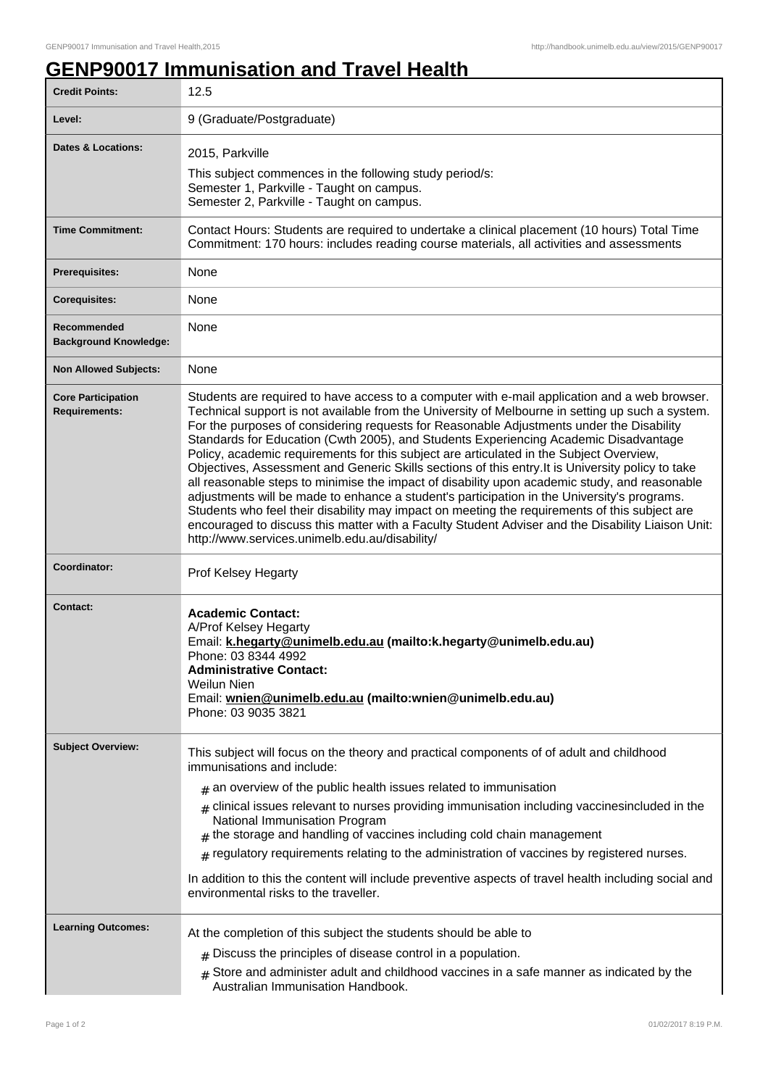## **GENP90017 Immunisation and Travel Health**

| <b>Credit Points:</b>                             | 12.5                                                                                                                                                                                                                                                                                                                                                                                                                                                                                                                                                                                                                                                                                                                                                                                                                                                                                                                                                                                                                                          |
|---------------------------------------------------|-----------------------------------------------------------------------------------------------------------------------------------------------------------------------------------------------------------------------------------------------------------------------------------------------------------------------------------------------------------------------------------------------------------------------------------------------------------------------------------------------------------------------------------------------------------------------------------------------------------------------------------------------------------------------------------------------------------------------------------------------------------------------------------------------------------------------------------------------------------------------------------------------------------------------------------------------------------------------------------------------------------------------------------------------|
| Level:                                            | 9 (Graduate/Postgraduate)                                                                                                                                                                                                                                                                                                                                                                                                                                                                                                                                                                                                                                                                                                                                                                                                                                                                                                                                                                                                                     |
| Dates & Locations:                                | 2015, Parkville<br>This subject commences in the following study period/s:<br>Semester 1, Parkville - Taught on campus.<br>Semester 2, Parkville - Taught on campus.                                                                                                                                                                                                                                                                                                                                                                                                                                                                                                                                                                                                                                                                                                                                                                                                                                                                          |
| <b>Time Commitment:</b>                           | Contact Hours: Students are required to undertake a clinical placement (10 hours) Total Time<br>Commitment: 170 hours: includes reading course materials, all activities and assessments                                                                                                                                                                                                                                                                                                                                                                                                                                                                                                                                                                                                                                                                                                                                                                                                                                                      |
| <b>Prerequisites:</b>                             | None                                                                                                                                                                                                                                                                                                                                                                                                                                                                                                                                                                                                                                                                                                                                                                                                                                                                                                                                                                                                                                          |
| <b>Corequisites:</b>                              | None                                                                                                                                                                                                                                                                                                                                                                                                                                                                                                                                                                                                                                                                                                                                                                                                                                                                                                                                                                                                                                          |
| Recommended<br><b>Background Knowledge:</b>       | None                                                                                                                                                                                                                                                                                                                                                                                                                                                                                                                                                                                                                                                                                                                                                                                                                                                                                                                                                                                                                                          |
| <b>Non Allowed Subjects:</b>                      | <b>None</b>                                                                                                                                                                                                                                                                                                                                                                                                                                                                                                                                                                                                                                                                                                                                                                                                                                                                                                                                                                                                                                   |
| <b>Core Participation</b><br><b>Requirements:</b> | Students are required to have access to a computer with e-mail application and a web browser.<br>Technical support is not available from the University of Melbourne in setting up such a system.<br>For the purposes of considering requests for Reasonable Adjustments under the Disability<br>Standards for Education (Cwth 2005), and Students Experiencing Academic Disadvantage<br>Policy, academic requirements for this subject are articulated in the Subject Overview,<br>Objectives, Assessment and Generic Skills sections of this entry. It is University policy to take<br>all reasonable steps to minimise the impact of disability upon academic study, and reasonable<br>adjustments will be made to enhance a student's participation in the University's programs.<br>Students who feel their disability may impact on meeting the requirements of this subject are<br>encouraged to discuss this matter with a Faculty Student Adviser and the Disability Liaison Unit:<br>http://www.services.unimelb.edu.au/disability/ |
| Coordinator:                                      | Prof Kelsey Hegarty                                                                                                                                                                                                                                                                                                                                                                                                                                                                                                                                                                                                                                                                                                                                                                                                                                                                                                                                                                                                                           |
| <b>Contact:</b>                                   | <b>Academic Contact:</b><br>A/Prof Kelsey Hegarty<br>Email: k.hegarty@unimelb.edu.au (mailto:k.hegarty@unimelb.edu.au)<br>Phone: 03 8344 4992<br><b>Administrative Contact:</b><br>Weilun Nien<br>Email: wnien@unimelb.edu.au (mailto:wnien@unimelb.edu.au)<br>Phone: 03 9035 3821                                                                                                                                                                                                                                                                                                                                                                                                                                                                                                                                                                                                                                                                                                                                                            |
| <b>Subject Overview:</b>                          | This subject will focus on the theory and practical components of of adult and childhood<br>immunisations and include:<br>$#$ an overview of the public health issues related to immunisation<br>$_{\#}$ clinical issues relevant to nurses providing immunisation including vaccinesincluded in the<br>National Immunisation Program<br>$#$ the storage and handling of vaccines including cold chain management<br>$*$ regulatory requirements relating to the administration of vaccines by registered nurses.<br>In addition to this the content will include preventive aspects of travel health including social and<br>environmental risks to the traveller.                                                                                                                                                                                                                                                                                                                                                                           |
| <b>Learning Outcomes:</b>                         | At the completion of this subject the students should be able to<br>$#$ Discuss the principles of disease control in a population.<br>Store and administer adult and childhood vaccines in a safe manner as indicated by the<br>Australian Immunisation Handbook.                                                                                                                                                                                                                                                                                                                                                                                                                                                                                                                                                                                                                                                                                                                                                                             |